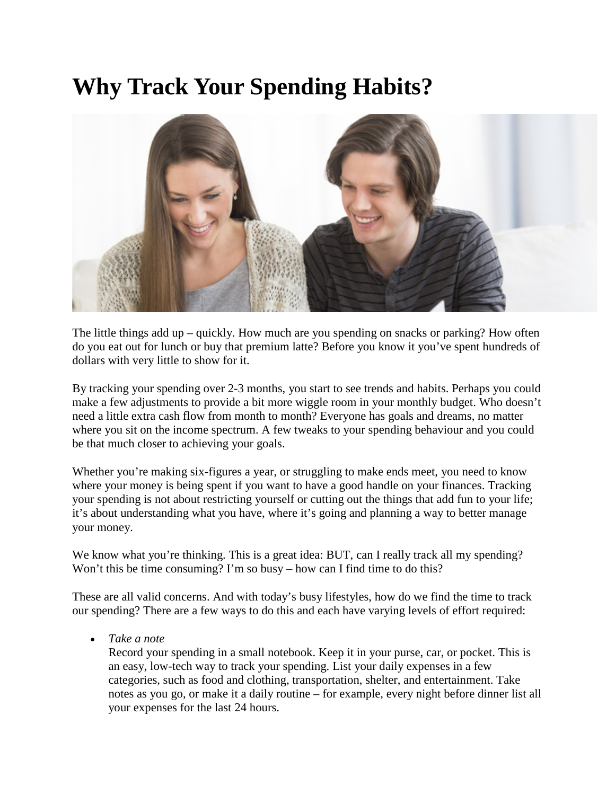## **Why Track Your Spending Habits?**



The little things add up – quickly. How much are you spending on snacks or parking? How often do you eat out for lunch or buy that premium latte? Before you know it you've spent hundreds of dollars with very little to show for it.

By tracking your spending over 2-3 months, you start to see trends and habits. Perhaps you could make a few adjustments to provide a bit more wiggle room in your monthly budget. Who doesn't need a little extra cash flow from month to month? Everyone has goals and dreams, no matter where you sit on the income spectrum. A few tweaks to your spending behaviour and you could be that much closer to achieving your goals.

Whether you're making six-figures a year, or struggling to make ends meet, you need to know where your money is being spent if you want to have a good handle on your finances. Tracking your spending is not about restricting yourself or cutting out the things that add fun to your life; it's about understanding what you have, where it's going and planning a way to better manage your money.

We know what you're thinking. This is a great idea: BUT, can I really track all my spending? Won't this be time consuming? I'm so busy – how can I find time to do this?

These are all valid concerns. And with today's busy lifestyles, how do we find the time to track our spending? There are a few ways to do this and each have varying levels of effort required:

• *Take a note*

Record your spending in a small notebook. Keep it in your purse, car, or pocket. This is an easy, low-tech way to track your spending. List your daily expenses in a few categories, such as food and clothing, transportation, shelter, and entertainment. Take notes as you go, or make it a daily routine – for example, every night before dinner list all your expenses for the last 24 hours.